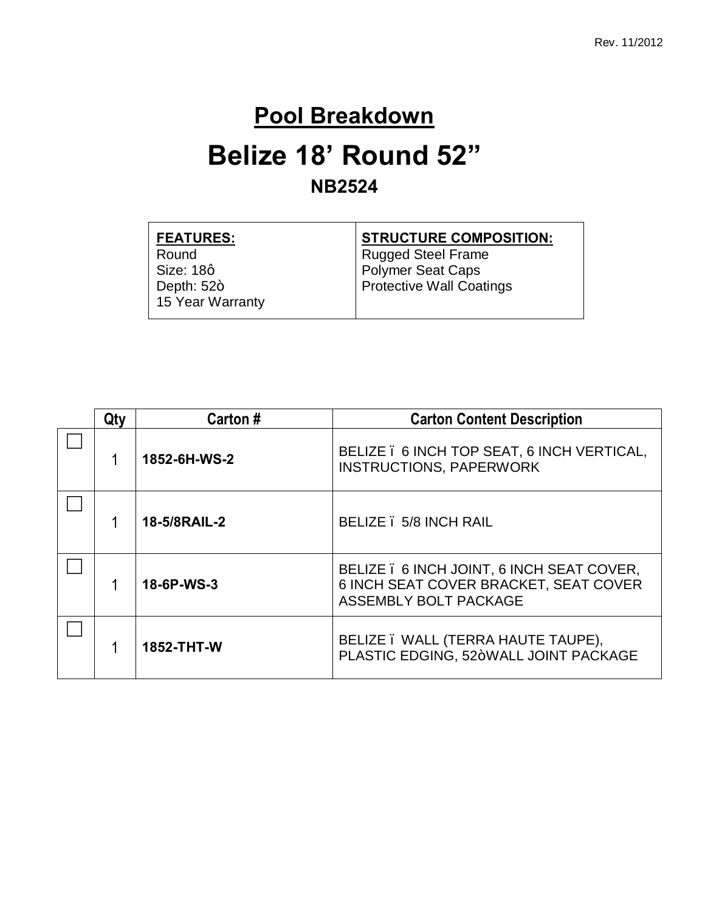#### **Pool Breakdown**

### **Belize 18' Round 52" NB2524**

| <b>FEATURES:</b> | <b>STRUCTURE COMPOSITION:</b>   |
|------------------|---------------------------------|
| Round            | <b>Rugged Steel Frame</b>       |
| Size: 18q        | Polymer Seat Caps               |
| Depth: $52+$     | <b>Protective Wall Coatings</b> |
| 15 Year Warranty |                                 |
|                  |                                 |

| Qty                                    | Carton #     | <b>Carton Content Description</b>                                                  |
|----------------------------------------|--------------|------------------------------------------------------------------------------------|
|                                        | 1852-6H-WS-2 | BELIZE . 6 INCH TOP SEAT, 6 INCH VERTICAL,<br><b>INSTRUCTIONS, PAPERWORK</b>       |
| BELIZE . 5/8 INCH RAIL<br>18-5/8RAIL-2 |              |                                                                                    |
| 18-6P-WS-3<br>ASSEMBLY BOLT PACKAGE    |              | BELIZE . 6 INCH JOINT, 6 INCH SEAT COVER,<br>6 INCH SEAT COVER BRACKET, SEAT COVER |
| 1852-THT-W                             |              | BELIZE . WALL (TERRA HAUTE TAUPE),<br>PLASTIC EDGING, 52+WALL JOINT PACKAGE        |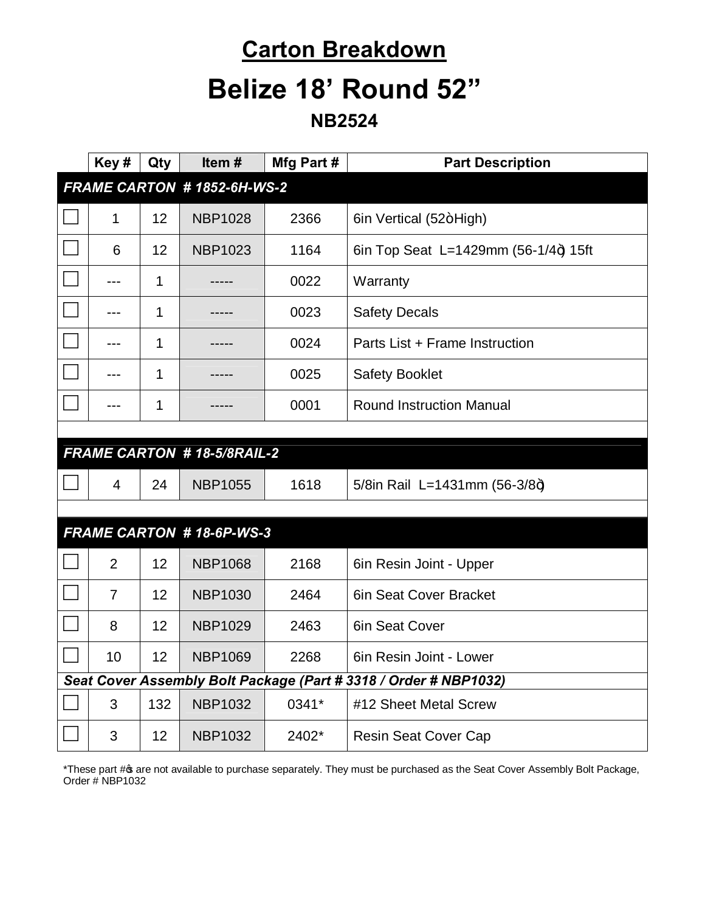## **Carton Breakdown Belize 18' Round 52"**

**NB2524**

|                                                                  | Key#                       | Qty | Item#                             | Mfg Part # | <b>Part Description</b>              |  |
|------------------------------------------------------------------|----------------------------|-----|-----------------------------------|------------|--------------------------------------|--|
|                                                                  | FRAME CARTON #1852-6H-WS-2 |     |                                   |            |                                      |  |
|                                                                  | 1                          | 12  | <b>NBP1028</b>                    | 2366       | 6in Vertical (52+High)               |  |
|                                                                  | 6                          | 12  | <b>NBP1023</b>                    | 1164       | 6in Top Seat L=1429mm (56-1/4+) 15ft |  |
|                                                                  | ---                        | 1   |                                   | 0022       | Warranty                             |  |
|                                                                  | $---$                      | 1   |                                   | 0023       | <b>Safety Decals</b>                 |  |
|                                                                  |                            | 1   |                                   | 0024       | Parts List + Frame Instruction       |  |
|                                                                  | ---                        | 1   |                                   | 0025       | <b>Safety Booklet</b>                |  |
|                                                                  |                            | 1   |                                   | 0001       | <b>Round Instruction Manual</b>      |  |
|                                                                  |                            |     |                                   |            |                                      |  |
|                                                                  |                            |     | <b>FRAME CARTON #18-5/8RAIL-2</b> |            |                                      |  |
|                                                                  | 4                          | 24  | <b>NBP1055</b>                    | 1618       | 5/8in Rail L=1431mm (56-3/8+)        |  |
|                                                                  |                            |     |                                   |            |                                      |  |
|                                                                  |                            |     | <b>FRAME CARTON #18-6P-WS-3</b>   |            |                                      |  |
|                                                                  | $\overline{2}$             | 12  | <b>NBP1068</b>                    | 2168       | 6in Resin Joint - Upper              |  |
|                                                                  | $\overline{7}$             | 12  | <b>NBP1030</b>                    | 2464       | 6in Seat Cover Bracket               |  |
|                                                                  | 8                          | 12  | <b>NBP1029</b>                    | 2463       | 6in Seat Cover                       |  |
|                                                                  | 10                         | 12  | <b>NBP1069</b>                    | 2268       | 6in Resin Joint - Lower              |  |
| Seat Cover Assembly Bolt Package (Part # 3318 / Order # NBP1032) |                            |     |                                   |            |                                      |  |
|                                                                  | 3                          | 132 | <b>NBP1032</b>                    | 0341*      | #12 Sheet Metal Screw                |  |
|                                                                  | 3                          | 12  | <b>NBP1032</b>                    | 2402*      | <b>Resin Seat Cover Cap</b>          |  |

\*These part # are not available to purchase separately. They must be purchased as the Seat Cover Assembly Bolt Package, Order # NBP1032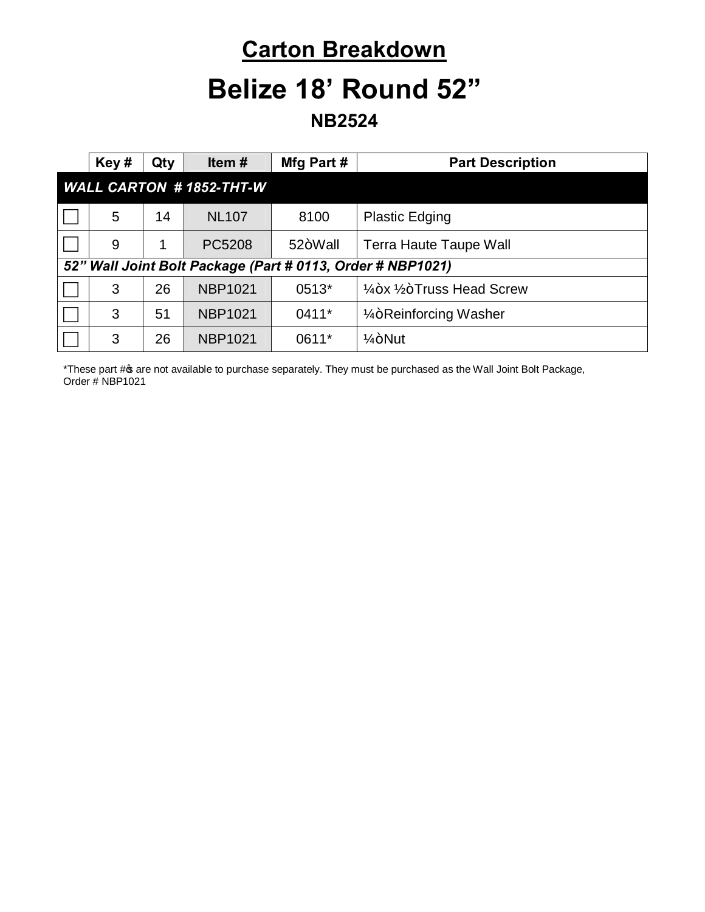# **Carton Breakdown**

## **Belize 18' Round 52"**

**NB2524**

| Key#                                                       | Qty | Item $#$       | Mfg Part # | <b>Part Description</b>                          |  |
|------------------------------------------------------------|-----|----------------|------------|--------------------------------------------------|--|
| <b>WALL CARTON #1852-THT-W</b>                             |     |                |            |                                                  |  |
| 5                                                          | 14  | <b>NL107</b>   | 8100       | <b>Plastic Edging</b>                            |  |
| 9                                                          |     | PC5208         | 52+Wall    | <b>Terra Haute Taupe Wall</b>                    |  |
| 52" Wall Joint Bolt Package (Part # 0113, Order # NBP1021) |     |                |            |                                                  |  |
| 3                                                          | 26  | <b>NBP1021</b> | 0513*      | $\frac{1}{4}$ +x $\frac{1}{2}$ +Truss Head Screw |  |
| 3                                                          | 51  | <b>NBP1021</b> | $0411*$    | 1/ <sub>4</sub> +Reinforcing Washer              |  |
| 3                                                          | 26  | <b>NBP1021</b> | 0611*      | $1/4 + N$ ut                                     |  |

\*These part # are not available to purchase separately. They must be purchased as the Wall Joint Bolt Package, Order # NBP1021